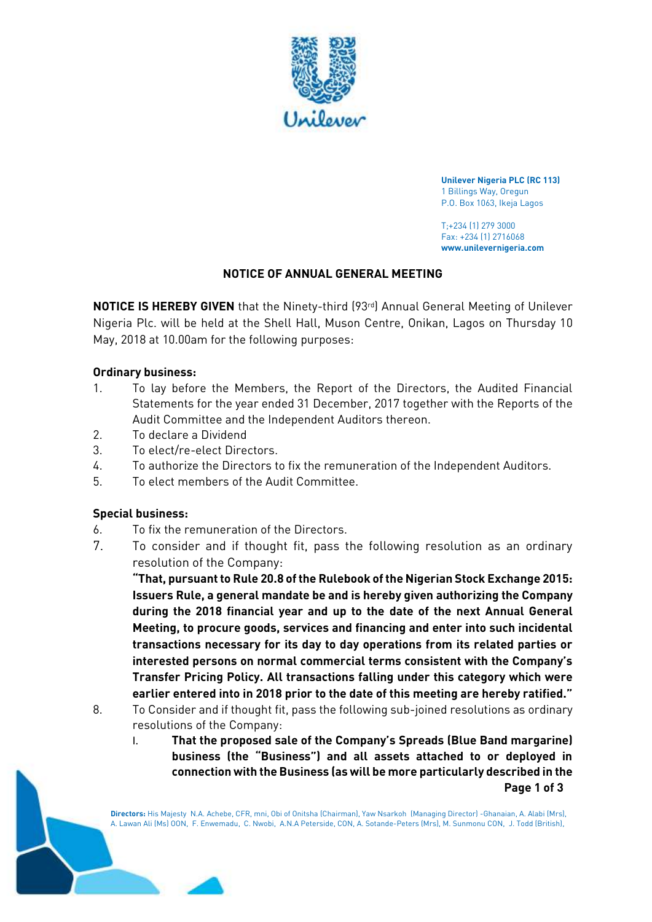

 **Unilever Nigeria PLC (RC 113)**  1 Billings Way, Oregun P.O. Box 1063, Ikeja Lagos

 T;+234 (1) 279 3000 Fax: +234 (1) 2716068 **www.unilevernigeria.com** 

# **NOTICE OF ANNUAL GENERAL MEETING**

**NOTICE IS HEREBY GIVEN** that the Ninety-third (93<sup>rd</sup>) Annual General Meeting of Unilever Nigeria Plc. will be held at the Shell Hall, Muson Centre, Onikan, Lagos on Thursday 10 May, 2018 at 10.00am for the following purposes:

#### **Ordinary business:**

- 1. To lay before the Members, the Report of the Directors, the Audited Financial Statements for the year ended 31 December, 2017 together with the Reports of the Audit Committee and the Independent Auditors thereon.
- 2. To declare a Dividend
- 3. To elect/re-elect Directors.
- 4. To authorize the Directors to fix the remuneration of the Independent Auditors.
- 5. To elect members of the Audit Committee.

#### **Special business:**

- 6. To fix the remuneration of the Directors.
- 7. To consider and if thought fit, pass the following resolution as an ordinary resolution of the Company:

 **"That, pursuant to Rule 20.8 of the Rulebook of the Nigerian Stock Exchange 2015: Issuers Rule, a general mandate be and is hereby given authorizing the Company during the 2018 financial year and up to the date of the next Annual General Meeting, to procure goods, services and financing and enter into such incidental transactions necessary for its day to day operations from its related parties or interested persons on normal commercial terms consistent with the Company's earlier entered into in 2018 prior to the date of this meeting are hereby ratified." Transfer Pricing Policy. All transactions falling under this category which were** 

- 8. To Consider and if thought fit, pass the following sub-joined resolutions as ordinary resolutions of the Company:
	- I. **That the proposed sale of the Company's Spreads (Blue Band margarine) business (the "Business") and all assets attached to or deployed in connection with the Business (as will be more particularly described in the Page 1 of 3**

 **Directors:** His Majesty N.A. Achebe, CFR, mni, Obi of Onitsha (Chairman), Yaw Nsarkoh (Managing Director) -Ghanaian, A. Alabi (Mrs), A. Lawan Ali (Ms) OON, F. Enwemadu, C. Nwobi, A.N.A Peterside, CON, A. Sotande-Peters (Mrs), M. Sunmonu CON, J. Todd (British),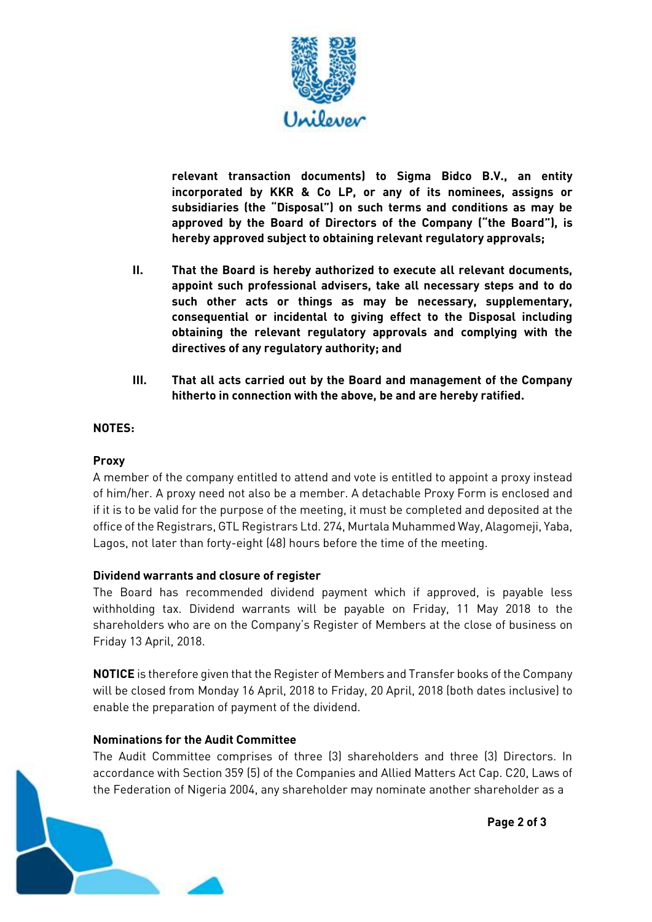

 **incorporated by KKR & Co LP, or any of its nominees, assigns or subsidiaries (the "Disposal") on such terms and conditions as may be approved by the Board of Directors of the Company ("the Board"), is hereby approved subject to obtaining relevant regulatory approvals; relevant transaction documents) to Sigma Bidco B.V., an entity** 

- **II. That the Board is hereby authorized to execute all relevant documents, appoint such professional advisers, take all necessary steps and to do such other acts or things as may be necessary, supplementary, consequential or incidental to giving effect to the Disposal including obtaining the relevant regulatory approvals and complying with the directives of any regulatory authority; and**
- **III. That all acts carried out by the Board and management of the Company hitherto in connection with the above, be and are hereby ratified.**

# **NOTES:**

### **Proxy**

 A member of the company entitled to attend and vote is entitled to appoint a proxy instead of him/her. A proxy need not also be a member. A detachable Proxy Form is enclosed and if it is to be valid for the purpose of the meeting, it must be completed and deposited at the office of the Registrars, GTL Registrars Ltd. 274, Murtala Muhammed Way, Alagomeji, Yaba, Lagos, not later than forty-eight (48) hours before the time of the meeting.

### **Dividend warrants and closure of register**

 withholding tax. Dividend warrants will be payable on Friday, 11 May 2018 to the shareholders who are on the Company's Register of Members at the close of business on The Board has recommended dividend payment which if approved, is payable less Friday 13 April, 2018.

 **NOTICE** is therefore given that the Register of Members and Transfer books of the Company enable the preparation of payment of the dividend. will be closed from Monday 16 April, 2018 to Friday, 20 April, 2018 (both dates inclusive) to

### **Nominations for the Audit Committee**

 The Audit Committee comprises of three (3) shareholders and three (3) Directors. In accordance with Section 359 (5) of the Companies and Allied Matters Act Cap. C20, Laws of the Federation of Nigeria 2004, any shareholder may nominate another shareholder as a